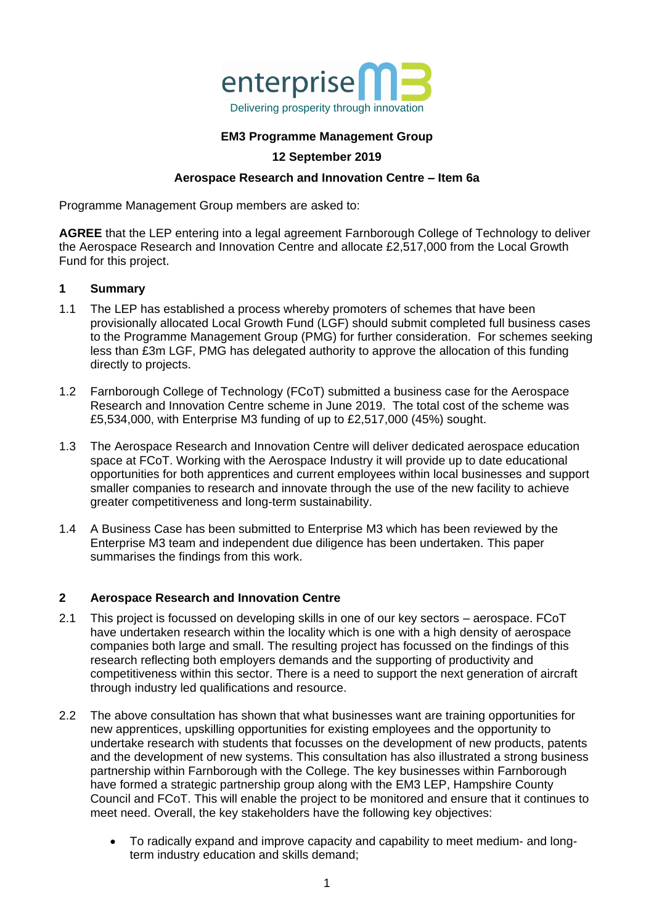

### **EM3 Programme Management Group**

## **12 September 2019**

#### **Aerospace Research and Innovation Centre – Item 6a**

Programme Management Group members are asked to:

**AGREE** that the LEP entering into a legal agreement Farnborough College of Technology to deliver the Aerospace Research and Innovation Centre and allocate £2,517,000 from the Local Growth Fund for this project.

#### **1 Summary**

- 1.1 The LEP has established a process whereby promoters of schemes that have been provisionally allocated Local Growth Fund (LGF) should submit completed full business cases to the Programme Management Group (PMG) for further consideration. For schemes seeking less than £3m LGF, PMG has delegated authority to approve the allocation of this funding directly to projects.
- 1.2 Farnborough College of Technology (FCoT) submitted a business case for the Aerospace Research and Innovation Centre scheme in June 2019. The total cost of the scheme was £5,534,000, with Enterprise M3 funding of up to £2,517,000 (45%) sought.
- 1.3 The Aerospace Research and Innovation Centre will deliver dedicated aerospace education space at FCoT. Working with the Aerospace Industry it will provide up to date educational opportunities for both apprentices and current employees within local businesses and support smaller companies to research and innovate through the use of the new facility to achieve greater competitiveness and long-term sustainability.
- 1.4 A Business Case has been submitted to Enterprise M3 which has been reviewed by the Enterprise M3 team and independent due diligence has been undertaken. This paper summarises the findings from this work.

#### **2 Aerospace Research and Innovation Centre**

- 2.1 This project is focussed on developing skills in one of our key sectors aerospace. FCoT have undertaken research within the locality which is one with a high density of aerospace companies both large and small. The resulting project has focussed on the findings of this research reflecting both employers demands and the supporting of productivity and competitiveness within this sector. There is a need to support the next generation of aircraft through industry led qualifications and resource.
- 2.2 The above consultation has shown that what businesses want are training opportunities for new apprentices, upskilling opportunities for existing employees and the opportunity to undertake research with students that focusses on the development of new products, patents and the development of new systems. This consultation has also illustrated a strong business partnership within Farnborough with the College. The key businesses within Farnborough have formed a strategic partnership group along with the EM3 LEP, Hampshire County Council and FCoT. This will enable the project to be monitored and ensure that it continues to meet need. Overall, the key stakeholders have the following key objectives:
	- To radically expand and improve capacity and capability to meet medium- and longterm industry education and skills demand;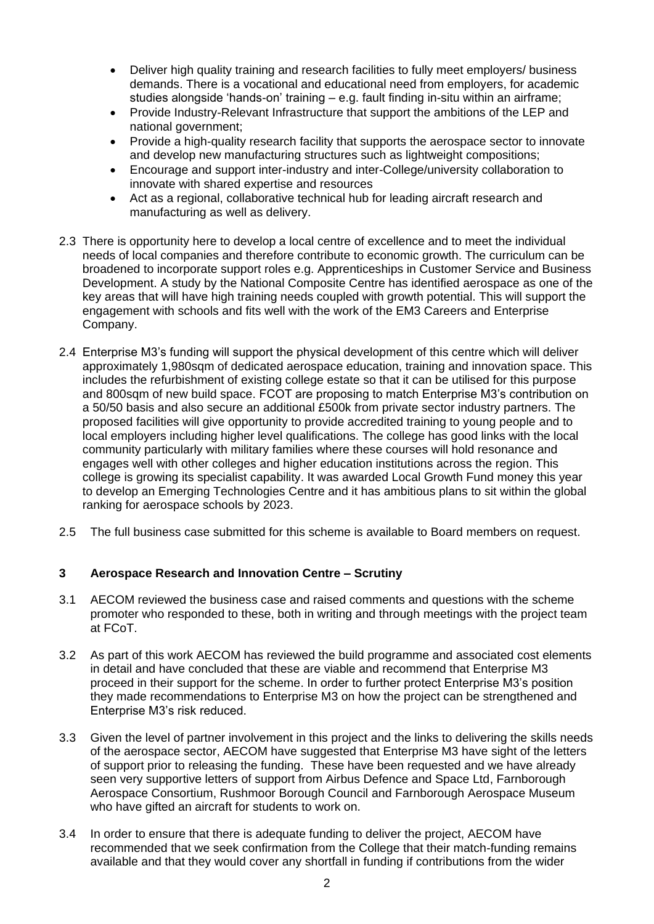- Deliver high quality training and research facilities to fully meet employers/ business demands. There is a vocational and educational need from employers, for academic studies alongside 'hands-on' training – e.g. fault finding in-situ within an airframe;
- Provide Industry-Relevant Infrastructure that support the ambitions of the LEP and national government;
- Provide a high-quality research facility that supports the aerospace sector to innovate and develop new manufacturing structures such as lightweight compositions;
- Encourage and support inter-industry and inter-College/university collaboration to innovate with shared expertise and resources
- Act as a regional, collaborative technical hub for leading aircraft research and manufacturing as well as delivery.
- 2.3 There is opportunity here to develop a local centre of excellence and to meet the individual needs of local companies and therefore contribute to economic growth. The curriculum can be broadened to incorporate support roles e.g. Apprenticeships in Customer Service and Business Development. A study by the National Composite Centre has identified aerospace as one of the key areas that will have high training needs coupled with growth potential. This will support the engagement with schools and fits well with the work of the EM3 Careers and Enterprise Company.
- 2.4 Enterprise M3's funding will support the physical development of this centre which will deliver approximately 1,980sqm of dedicated aerospace education, training and innovation space. This includes the refurbishment of existing college estate so that it can be utilised for this purpose and 800sqm of new build space. FCOT are proposing to match Enterprise M3's contribution on a 50/50 basis and also secure an additional £500k from private sector industry partners. The proposed facilities will give opportunity to provide accredited training to young people and to local employers including higher level qualifications. The college has good links with the local community particularly with military families where these courses will hold resonance and engages well with other colleges and higher education institutions across the region. This college is growing its specialist capability. It was awarded Local Growth Fund money this year to develop an Emerging Technologies Centre and it has ambitious plans to sit within the global ranking for aerospace schools by 2023.
- 2.5 The full business case submitted for this scheme is available to Board members on request.

#### **3 Aerospace Research and Innovation Centre – Scrutiny**

- 3.1 AECOM reviewed the business case and raised comments and questions with the scheme promoter who responded to these, both in writing and through meetings with the project team at FCoT.
- 3.2 As part of this work AECOM has reviewed the build programme and associated cost elements in detail and have concluded that these are viable and recommend that Enterprise M3 proceed in their support for the scheme. In order to further protect Enterprise M3's position they made recommendations to Enterprise M3 on how the project can be strengthened and Enterprise M3's risk reduced.
- 3.3 Given the level of partner involvement in this project and the links to delivering the skills needs of the aerospace sector, AECOM have suggested that Enterprise M3 have sight of the letters of support prior to releasing the funding. These have been requested and we have already seen very supportive letters of support from Airbus Defence and Space Ltd, Farnborough Aerospace Consortium, Rushmoor Borough Council and Farnborough Aerospace Museum who have gifted an aircraft for students to work on.
- 3.4 In order to ensure that there is adequate funding to deliver the project, AECOM have recommended that we seek confirmation from the College that their match-funding remains available and that they would cover any shortfall in funding if contributions from the wider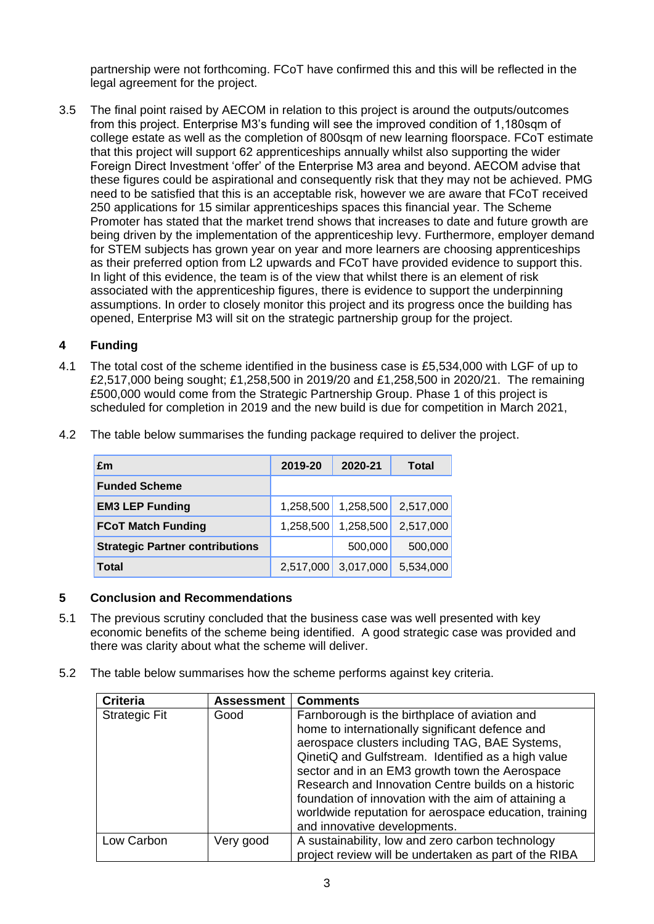partnership were not forthcoming. FCoT have confirmed this and this will be reflected in the legal agreement for the project.

3.5 The final point raised by AECOM in relation to this project is around the outputs/outcomes from this project. Enterprise M3's funding will see the improved condition of 1,180sqm of college estate as well as the completion of 800sqm of new learning floorspace. FCoT estimate that this project will support 62 apprenticeships annually whilst also supporting the wider Foreign Direct Investment 'offer' of the Enterprise M3 area and beyond. AECOM advise that these figures could be aspirational and consequently risk that they may not be achieved. PMG need to be satisfied that this is an acceptable risk, however we are aware that FCoT received 250 applications for 15 similar apprenticeships spaces this financial year. The Scheme Promoter has stated that the market trend shows that increases to date and future growth are being driven by the implementation of the apprenticeship levy. Furthermore, employer demand for STEM subjects has grown year on year and more learners are choosing apprenticeships as their preferred option from L2 upwards and FCoT have provided evidence to support this. In light of this evidence, the team is of the view that whilst there is an element of risk associated with the apprenticeship figures, there is evidence to support the underpinning assumptions. In order to closely monitor this project and its progress once the building has opened, Enterprise M3 will sit on the strategic partnership group for the project.

#### **4 Funding**

4.1 The total cost of the scheme identified in the business case is £5,534,000 with LGF of up to £2,517,000 being sought; £1,258,500 in 2019/20 and £1,258,500 in 2020/21. The remaining £500,000 would come from the Strategic Partnership Group. Phase 1 of this project is scheduled for completion in 2019 and the new build is due for competition in March 2021,

| £m                                     | 2019-20   | 2020-21   | Total     |
|----------------------------------------|-----------|-----------|-----------|
| <b>Funded Scheme</b>                   |           |           |           |
| <b>EM3 LEP Funding</b>                 | 1,258,500 | 1,258,500 | 2,517,000 |
| <b>FCoT Match Funding</b>              | 1,258,500 | 1,258,500 | 2,517,000 |
| <b>Strategic Partner contributions</b> |           | 500,000   | 500,000   |
| <b>Total</b>                           | 2,517,000 | 3,017,000 | 5,534,000 |

4.2 The table below summarises the funding package required to deliver the project.

# **5 Conclusion and Recommendations**

- 5.1 The previous scrutiny concluded that the business case was well presented with key economic benefits of the scheme being identified. A good strategic case was provided and there was clarity about what the scheme will deliver.
- 5.2 The table below summarises how the scheme performs against key criteria.

| <b>Criteria</b>      | <b>Assessment</b> | <b>Comments</b>                                        |
|----------------------|-------------------|--------------------------------------------------------|
| <b>Strategic Fit</b> | Good              | Farnborough is the birthplace of aviation and          |
|                      |                   | home to internationally significant defence and        |
|                      |                   | aerospace clusters including TAG, BAE Systems,         |
|                      |                   | QinetiQ and Gulfstream. Identified as a high value     |
|                      |                   | sector and in an EM3 growth town the Aerospace         |
|                      |                   | Research and Innovation Centre builds on a historic    |
|                      |                   | foundation of innovation with the aim of attaining a   |
|                      |                   | worldwide reputation for aerospace education, training |
|                      |                   | and innovative developments.                           |
| Low Carbon           | Very good         | A sustainability, low and zero carbon technology       |
|                      |                   | project review will be undertaken as part of the RIBA  |